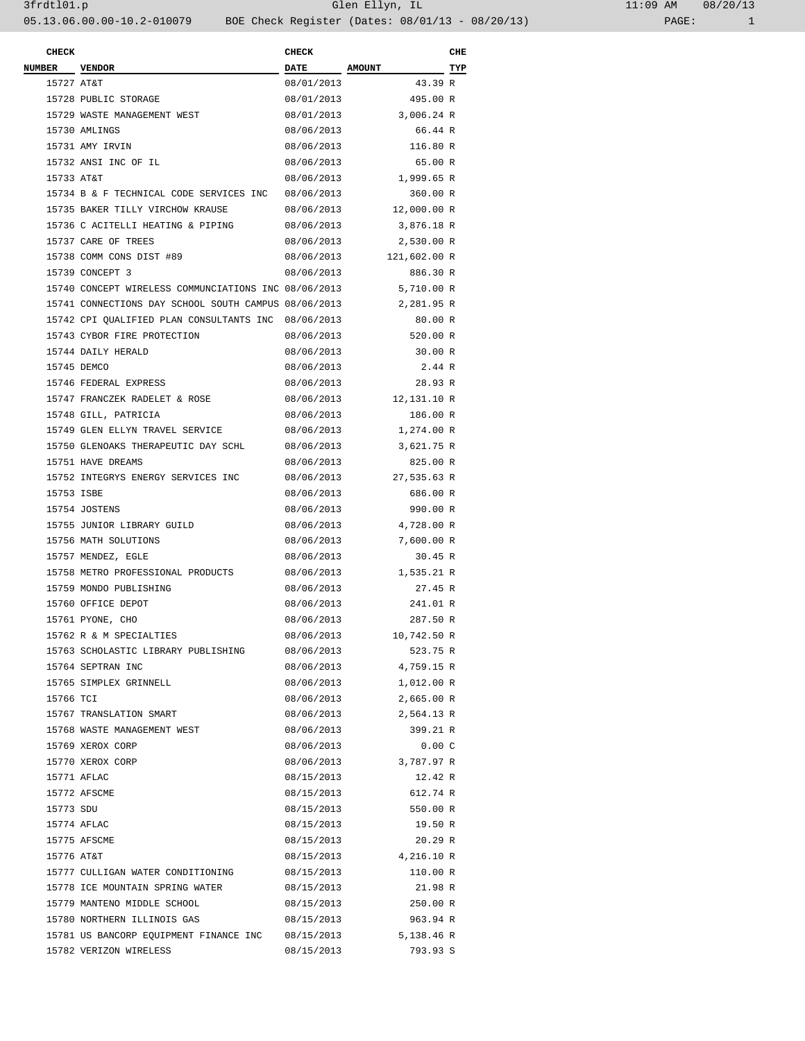## 3frdtl01.p Glen Ellyn, IL 11:09 AM 08/20/13 05.13.06.00.00-10.2-010079 BOE Check Register (Dates: 08/01/13 - 08/20/13) PAGE: 1

| <b>CHECK</b>  |                                                      | <b>CHECK</b> |                         | CHE |
|---------------|------------------------------------------------------|--------------|-------------------------|-----|
| <b>NUMBER</b> | <b>VENDOR</b>                                        | DATE AMOUNT  |                         | TYP |
| 15727 AT&T    |                                                      | 08/01/2013   | 43.39 R                 |     |
|               | 15728 PUBLIC STORAGE                                 | 08/01/2013   | 495.00 R                |     |
|               | 15729 WASTE MANAGEMENT WEST                          | 08/01/2013   | 3,006.24 R              |     |
|               | 15730 AMLINGS                                        | 08/06/2013   | 66.44 R                 |     |
|               | 15731 AMY IRVIN                                      | 08/06/2013   | 116.80 R                |     |
|               | 15732 ANSI INC OF IL                                 | 08/06/2013   | 65.00 R                 |     |
| 15733 AT&T    |                                                      | 08/06/2013   | 1,999.65 R              |     |
|               | 15734 B & F TECHNICAL CODE SERVICES INC              | 08/06/2013   | 360.00 R                |     |
|               | 15735 BAKER TILLY VIRCHOW KRAUSE                     |              | 08/06/2013 12,000.00 R  |     |
|               | 15736 C ACITELLI HEATING & PIPING                    | 08/06/2013   | 3,876.18 R              |     |
|               | 15737 CARE OF TREES                                  | 08/06/2013   | 2,530.00 R              |     |
|               | 15738 COMM CONS DIST #89                             |              | 08/06/2013 121,602.00 R |     |
|               | 15739 CONCEPT 3                                      | 08/06/2013   | 886.30 R                |     |
|               | 15740 CONCEPT WIRELESS COMMUNCIATIONS INC 08/06/2013 |              | 5,710.00 R              |     |
|               | 15741 CONNECTIONS DAY SCHOOL SOUTH CAMPUS 08/06/2013 |              | 2,281.95 R              |     |
|               | 15742 CPI QUALIFIED PLAN CONSULTANTS INC 08/06/2013  |              | 80.00 R                 |     |
|               | 15743 CYBOR FIRE PROTECTION                          | 08/06/2013   | 520.00 R                |     |
|               | 15744 DAILY HERALD                                   | 08/06/2013   | 30.00 R                 |     |
|               | 15745 DEMCO                                          | 08/06/2013   | 2.44 R                  |     |
|               | 15746 FEDERAL EXPRESS                                | 08/06/2013   | 28.93 R                 |     |
|               | 15747 FRANCZEK RADELET & ROSE                        | 08/06/2013   | 12,131.10 R             |     |
|               | 15748 GILL, PATRICIA                                 | 08/06/2013   | 186.00 R                |     |
|               | 15749 GLEN ELLYN TRAVEL SERVICE                      | 08/06/2013   | 1,274.00 R              |     |
|               | 15750 GLENOAKS THERAPEUTIC DAY SCHL                  | 08/06/2013   | 3,621.75 R              |     |
|               | 15751 HAVE DREAMS                                    | 08/06/2013   | 825.00 R                |     |
|               | 15752 INTEGRYS ENERGY SERVICES INC                   | 08/06/2013   | 27,535.63 R             |     |
| 15753 ISBE    |                                                      | 08/06/2013   | 686.00 R                |     |
|               | 15754 JOSTENS                                        | 08/06/2013   | 990.00 R                |     |
|               | 15755 JUNIOR LIBRARY GUILD                           | 08/06/2013   | 4,728.00 R              |     |
|               | 15756 MATH SOLUTIONS                                 | 08/06/2013   | 7,600.00 R              |     |
|               | 15757 MENDEZ, EGLE                                   | 08/06/2013   | 30.45 R                 |     |
|               | 15758 METRO PROFESSIONAL PRODUCTS                    | 08/06/2013   | 1,535.21 R              |     |
|               | 15759 MONDO PUBLISHING                               | 08/06/2013   | 27.45 R                 |     |
|               | 15760 OFFICE DEPOT                                   | 08/06/2013   | 241.01 R                |     |
|               | 15761 PYONE, CHO                                     | 08/06/2013   | 287.50 R                |     |
|               | 15762 R & M SPECIALTIES                              | 08/06/2013   | 10,742.50 R             |     |
|               | 15763 SCHOLASTIC LIBRARY PUBLISHING                  | 08/06/2013   | 523.75 R                |     |
|               | 15764 SEPTRAN INC                                    | 08/06/2013   | 4,759.15 R              |     |
|               | 15765 SIMPLEX GRINNELL                               | 08/06/2013   | 1,012.00 R              |     |
| 15766 TCI     |                                                      | 08/06/2013   | 2,665.00 R              |     |
|               | 15767 TRANSLATION SMART                              | 08/06/2013   | 2,564.13 R              |     |
|               | 15768 WASTE MANAGEMENT WEST                          | 08/06/2013   | 399.21 R                |     |
|               | 15769 XEROX CORP                                     | 08/06/2013   | 0.00C                   |     |
|               | 15770 XEROX CORP                                     | 08/06/2013   | 3,787.97 R              |     |
|               | 15771 AFLAC                                          | 08/15/2013   | 12.42 R                 |     |
|               | 15772 AFSCME                                         | 08/15/2013   | 612.74 R                |     |
| 15773 SDU     |                                                      | 08/15/2013   | 550.00 R                |     |
|               | 15774 AFLAC                                          | 08/15/2013   | 19.50 R                 |     |
|               | 15775 AFSCME                                         | 08/15/2013   | 20.29 R                 |     |
| 15776 AT&T    |                                                      | 08/15/2013   | 4,216.10 R              |     |
|               | 15777 CULLIGAN WATER CONDITIONING                    | 08/15/2013   | 110.00 R                |     |
|               |                                                      |              |                         |     |
|               | 15778 ICE MOUNTAIN SPRING WATER                      | 08/15/2013   | 21.98 R                 |     |
|               | 15779 MANTENO MIDDLE SCHOOL                          | 08/15/2013   | 250.00 R                |     |
|               | 15780 NORTHERN ILLINOIS GAS                          | 08/15/2013   | 963.94 R                |     |
|               | 15781 US BANCORP EQUIPMENT FINANCE INC               | 08/15/2013   | $5,138.46$ R            |     |
|               | 15782 VERIZON WIRELESS                               | 08/15/2013   | 793.93 S                |     |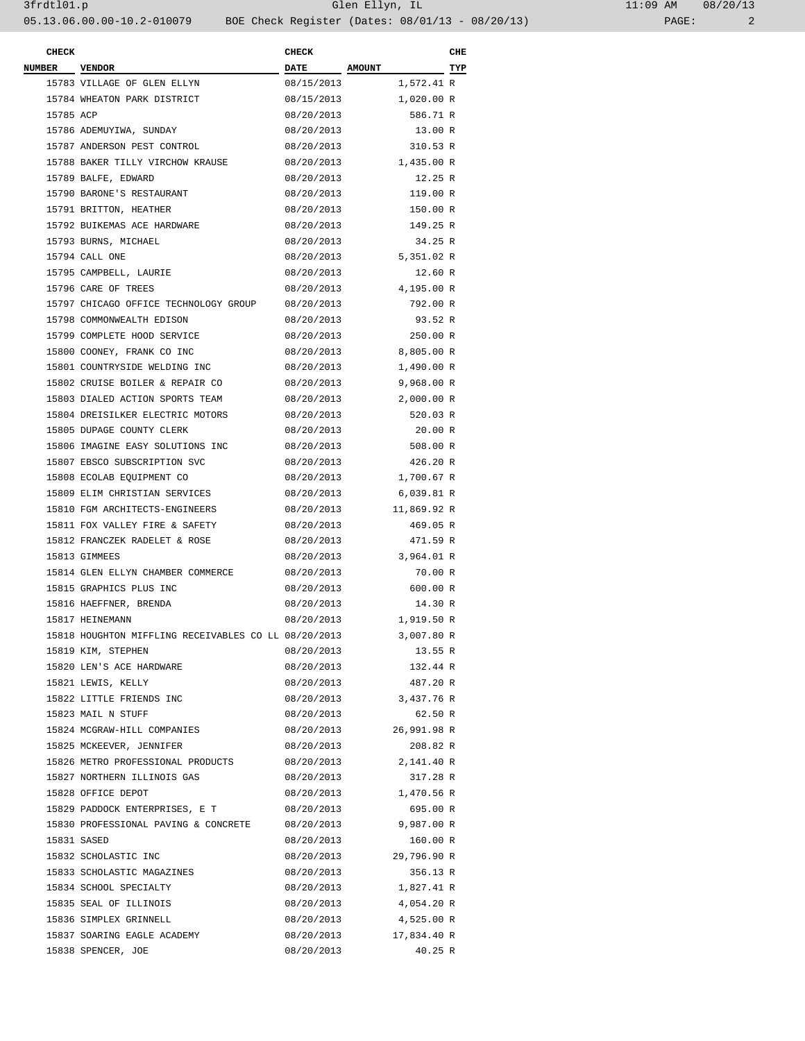| <b>CHECK</b>  |                                                      | <b>CHECK</b> |             | CHE |
|---------------|------------------------------------------------------|--------------|-------------|-----|
| <b>NUMBER</b> | <b>VENDOR</b>                                        | DATE AMOUNT  |             | TYP |
|               | 15783 VILLAGE OF GLEN ELLYN                          | 08/15/2013   | 1,572.41 R  |     |
|               | 15784 WHEATON PARK DISTRICT                          | 08/15/2013   | 1,020.00 R  |     |
| 15785 ACP     |                                                      | 08/20/2013   | 586.71 R    |     |
|               | 15786 ADEMUYIWA, SUNDAY                              | 08/20/2013   | 13.00 R     |     |
|               | 15787 ANDERSON PEST CONTROL                          | 08/20/2013   | 310.53 R    |     |
|               | 15788 BAKER TILLY VIRCHOW KRAUSE                     | 08/20/2013   | 1,435.00 R  |     |
|               | 15789 BALFE, EDWARD                                  | 08/20/2013   | 12.25 R     |     |
|               | 15790 BARONE'S RESTAURANT                            | 08/20/2013   | 119.00 R    |     |
|               | 15791 BRITTON, HEATHER                               | 08/20/2013   | 150.00 R    |     |
|               | 15792 BUIKEMAS ACE HARDWARE                          | 08/20/2013   | 149.25 R    |     |
|               | 15793 BURNS, MICHAEL                                 | 08/20/2013   | 34.25 R     |     |
|               | 15794 CALL ONE                                       | 08/20/2013   | 5,351.02 R  |     |
|               | 15795 CAMPBELL, LAURIE                               | 08/20/2013   | 12.60 R     |     |
|               | 15796 CARE OF TREES                                  | 08/20/2013   | 4,195.00 R  |     |
|               | 15797 CHICAGO OFFICE TECHNOLOGY GROUP                | 08/20/2013   | 792.00 R    |     |
|               | 15798 COMMONWEALTH EDISON                            | 08/20/2013   | 93.52 R     |     |
|               | 15799 COMPLETE HOOD SERVICE                          | 08/20/2013   | 250.00 R    |     |
|               | 15800 COONEY, FRANK CO INC                           | 08/20/2013   | 8,805.00 R  |     |
|               | 15801 COUNTRYSIDE WELDING INC                        | 08/20/2013   | 1,490.00 R  |     |
|               | 15802 CRUISE BOILER & REPAIR CO                      | 08/20/2013   | 9,968.00 R  |     |
|               | 15803 DIALED ACTION SPORTS TEAM                      | 08/20/2013   | 2,000.00 R  |     |
|               | 15804 DREISILKER ELECTRIC MOTORS                     | 08/20/2013   | 520.03 R    |     |
|               | 15805 DUPAGE COUNTY CLERK                            | 08/20/2013   | 20.00 R     |     |
|               | 15806 IMAGINE EASY SOLUTIONS INC                     | 08/20/2013   | 508.00 R    |     |
|               | 15807 EBSCO SUBSCRIPTION SVC                         | 08/20/2013   | 426.20 R    |     |
|               |                                                      |              | 1,700.67 R  |     |
|               | 15808 ECOLAB EQUIPMENT CO                            | 08/20/2013   | 6,039.81 R  |     |
|               | 15809 ELIM CHRISTIAN SERVICES                        | 08/20/2013   |             |     |
|               | 15810 FGM ARCHITECTS-ENGINEERS                       | 08/20/2013   | 11,869.92 R |     |
|               | 15811 FOX VALLEY FIRE & SAFETY                       | 08/20/2013   | 469.05 R    |     |
|               | 15812 FRANCZEK RADELET & ROSE                        | 08/20/2013   | 471.59 R    |     |
|               | 15813 GIMMEES                                        | 08/20/2013   | 3,964.01 R  |     |
|               | 15814 GLEN ELLYN CHAMBER COMMERCE                    | 08/20/2013   | 70.00 R     |     |
|               | 15815 GRAPHICS PLUS INC                              | 08/20/2013   | 600.00 R    |     |
|               | 15816 HAEFFNER, BRENDA                               | 08/20/2013   | 14.30 R     |     |
|               | 15817 HEINEMANN                                      | 08/20/2013   | 1,919.50 R  |     |
|               | 15818 HOUGHTON MIFFLING RECEIVABLES CO LL 08/20/2013 |              | 3,007.80 R  |     |
|               | 15819 KIM, STEPHEN                                   | 08/20/2013   | 13.55 R     |     |
|               | 15820 LEN'S ACE HARDWARE                             | 08/20/2013   | 132.44 R    |     |
|               | 15821 LEWIS, KELLY                                   | 08/20/2013   | 487.20 R    |     |
|               | 15822 LITTLE FRIENDS INC                             | 08/20/2013   | 3,437.76 R  |     |
|               | 15823 MAIL N STUFF                                   | 08/20/2013   | 62.50 R     |     |
|               | 15824 MCGRAW-HILL COMPANIES                          | 08/20/2013   | 26,991.98 R |     |
|               | 15825 MCKEEVER, JENNIFER                             | 08/20/2013   | 208.82 R    |     |
|               | 15826 METRO PROFESSIONAL PRODUCTS                    | 08/20/2013   | 2,141.40 R  |     |
|               | 15827 NORTHERN ILLINOIS GAS                          | 08/20/2013   | 317.28 R    |     |
|               | 15828 OFFICE DEPOT                                   | 08/20/2013   | 1,470.56 R  |     |
|               | 15829 PADDOCK ENTERPRISES, E T                       | 08/20/2013   | 695.00 R    |     |
|               | 15830 PROFESSIONAL PAVING & CONCRETE                 | 08/20/2013   | 9,987.00 R  |     |
|               | 15831 SASED                                          | 08/20/2013   | 160.00 R    |     |
|               | 15832 SCHOLASTIC INC                                 | 08/20/2013   | 29,796.90 R |     |
|               | 15833 SCHOLASTIC MAGAZINES                           | 08/20/2013   | 356.13 R    |     |
|               | 15834 SCHOOL SPECIALTY                               | 08/20/2013   | 1,827.41 R  |     |
|               | 15835 SEAL OF ILLINOIS                               | 08/20/2013   | 4,054.20 R  |     |
|               | 15836 SIMPLEX GRINNELL                               | 08/20/2013   | 4,525.00 R  |     |
|               | 15837 SOARING EAGLE ACADEMY                          | 08/20/2013   | 17,834.40 R |     |
|               | 15838 SPENCER, JOE                                   | 08/20/2013   | 40.25 R     |     |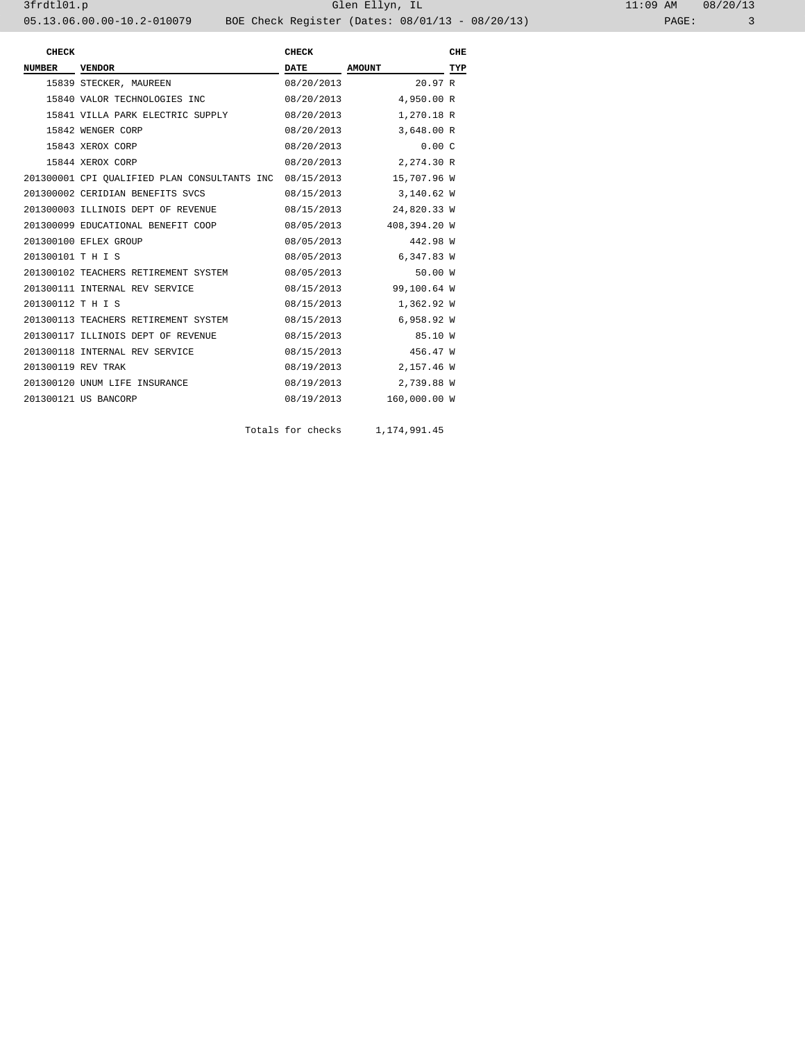| 11:09 AM |       | 08/20/13 |
|----------|-------|----------|
|          | PAGE: |          |

| <b>CHECK</b>       |                                              | <b>CHECK</b> |               | CHE |
|--------------------|----------------------------------------------|--------------|---------------|-----|
| <b>NUMBER</b>      | <b>VENDOR</b>                                | <b>DATE</b>  | <b>AMOUNT</b> | TYP |
|                    | 15839 STECKER, MAUREEN                       | 08/20/2013   | 20.97R        |     |
|                    | 15840 VALOR TECHNOLOGIES INC                 | 08/20/2013   | 4,950.00 R    |     |
|                    | 15841 VILLA PARK ELECTRIC SUPPLY             | 08/20/2013   | 1,270.18 R    |     |
|                    | 15842 WENGER CORP                            | 08/20/2013   | 3,648.00 R    |     |
|                    | 15843 XEROX CORP                             | 08/20/2013   | 0.00C         |     |
|                    | 15844 XEROX CORP                             | 08/20/2013   | 2,274.30 R    |     |
|                    | 201300001 CPI QUALIFIED PLAN CONSULTANTS INC | 08/15/2013   | 15,707.96 W   |     |
|                    | 201300002 CERIDIAN BENEFITS SVCS             | 08/15/2013   | 3,140.62 W    |     |
|                    | 201300003 ILLINOIS DEPT OF REVENUE           | 08/15/2013   | 24,820.33 W   |     |
|                    | 201300099 EDUCATIONAL BENEFIT COOP           | 08/05/2013   | 408,394.20 W  |     |
|                    | 201300100 EFLEX GROUP                        | 08/05/2013   | 442.98 W      |     |
| 201300101 T H I S  |                                              | 08/05/2013   | 6,347.83 W    |     |
|                    | 201300102 TEACHERS RETIREMENT SYSTEM         | 08/05/2013   | 50.00 W       |     |
|                    | 201300111 INTERNAL REV SERVICE               | 08/15/2013   | 99,100.64 W   |     |
| 201300112 T H I S  |                                              | 08/15/2013   | 1,362.92 W    |     |
|                    | 201300113 TEACHERS RETIREMENT SYSTEM         | 08/15/2013   | 6,958.92 W    |     |
|                    | 201300117 ILLINOIS DEPT OF REVENUE           | 08/15/2013   | 85.10 W       |     |
|                    | 201300118 INTERNAL REV SERVICE               | 08/15/2013   | 456.47 W      |     |
| 201300119 REV TRAK |                                              | 08/19/2013   | 2,157.46 W    |     |
|                    | 201300120 UNUM LIFE INSURANCE                | 08/19/2013   | 2,739.88 W    |     |
|                    | 201300121 US BANCORP                         | 08/19/2013   | 160,000.00 W  |     |
|                    |                                              |              |               |     |

Totals for checks 1,174,991.45